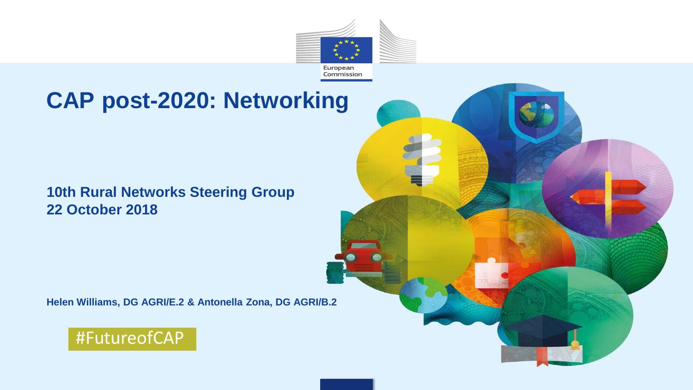

## **CAP post-2020: Networking**

#### **10th Rural Networks Steering Group 22 October 2018**

**Helen Williams, DG AGRI/E.2 & Antonella Zona, DG AGRI/B.2**



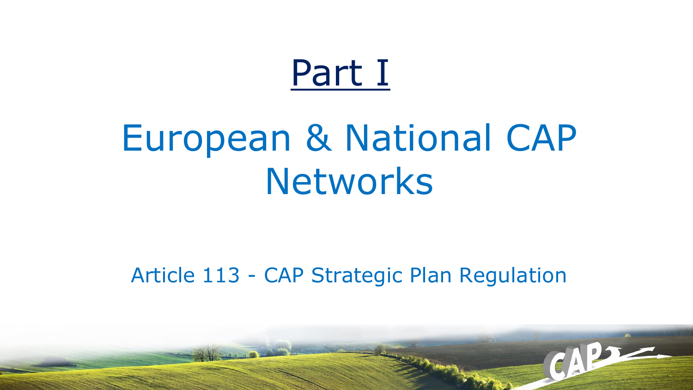# Part I

# European & National CAP Networks

### Article 113 - CAP Strategic Plan Regulation

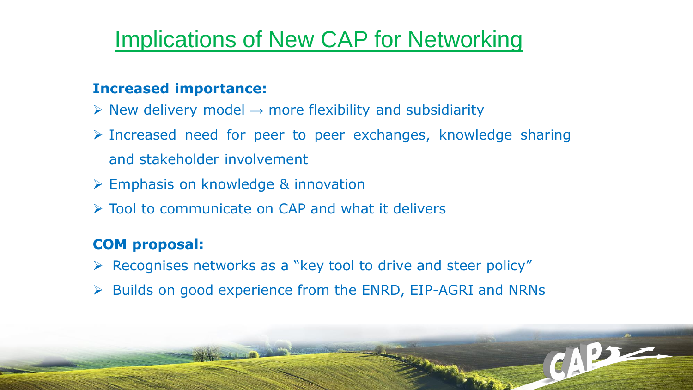## Implications of New CAP for Networking

#### **Increased importance:**

- $\triangleright$  New delivery model  $\rightarrow$  more flexibility and subsidiarity
- ➢ Increased need for peer to peer exchanges, knowledge sharing and stakeholder involvement
- ➢ Emphasis on knowledge & innovation
- ➢ Tool to communicate on CAP and what it delivers

### **COM proposal:**

- ➢ Recognises networks as a "key tool to drive and steer policy"
- ➢ Builds on good experience from the ENRD, EIP-AGRI and NRNs

CAPT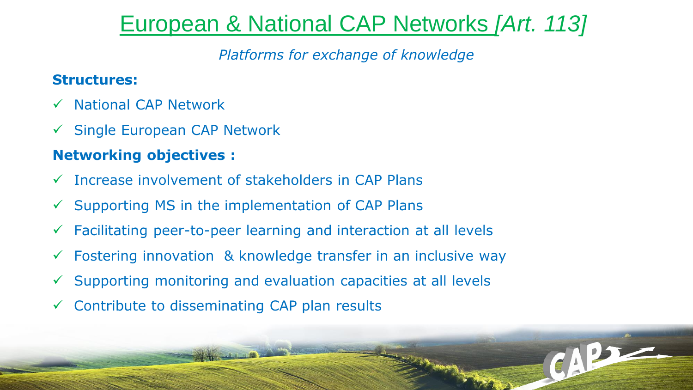## European & National CAP Networks *[Art. 113]*

CAPT

*Platforms for exchange of knowledge*

#### **Structures:**

- ✓ National CAP Network
- ✓ Single European CAP Network

### **Networking objectives :**

- ✓ Increase involvement of stakeholders in CAP Plans
- $\checkmark$  Supporting MS in the implementation of CAP Plans
- $\checkmark$  Facilitating peer-to-peer learning and interaction at all levels
- $\checkmark$  Fostering innovation & knowledge transfer in an inclusive way
- $\checkmark$  Supporting monitoring and evaluation capacities at all levels
- $\checkmark$  Contribute to disseminating CAP plan results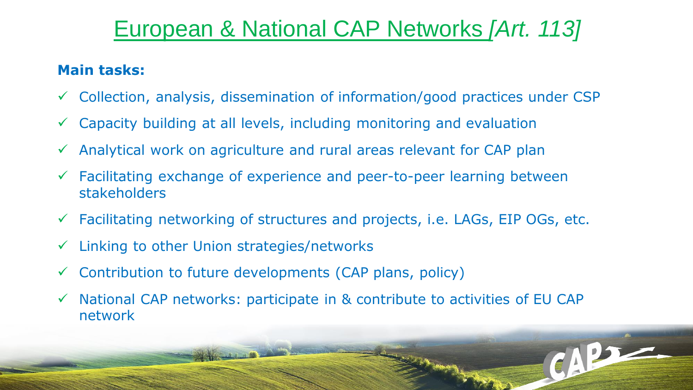## European & National CAP Networks *[Art. 113]*

### **Main tasks:**

- ✓ Collection, analysis, dissemination of information/good practices under CSP
- $\checkmark$  Capacity building at all levels, including monitoring and evaluation
- $\checkmark$  Analytical work on agriculture and rural areas relevant for CAP plan
- $\checkmark$  Facilitating exchange of experience and peer-to-peer learning between stakeholders
- $\checkmark$  Facilitating networking of structures and projects, i.e. LAGs, EIP OGs, etc.
- ✓ Linking to other Union strategies/networks
- $\checkmark$  Contribution to future developments (CAP plans, policy)
- ✓ National CAP networks: participate in & contribute to activities of EU CAP network

CAPT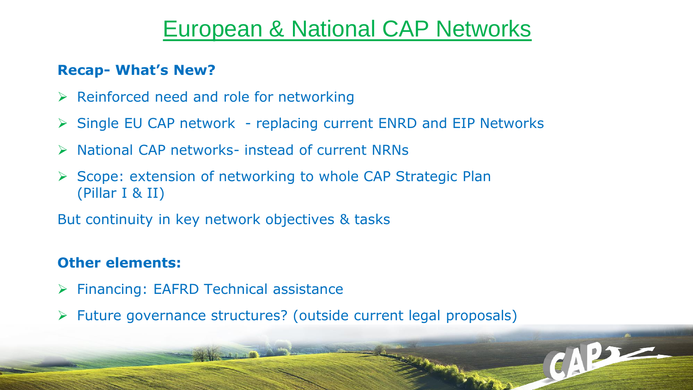### European & National CAP Networks

CAPT

### **Recap- What's New?**

- $\triangleright$  Reinforced need and role for networking
- ➢ Single EU CAP network replacing current ENRD and EIP Networks
- ➢ National CAP networks- instead of current NRNs
- ➢ Scope: extension of networking to whole CAP Strategic Plan (Pillar I & II)

But continuity in key network objectives & tasks

### **Other elements:**

- ➢ Financing: EAFRD Technical assistance
- ➢ Future governance structures? (outside current legal proposals)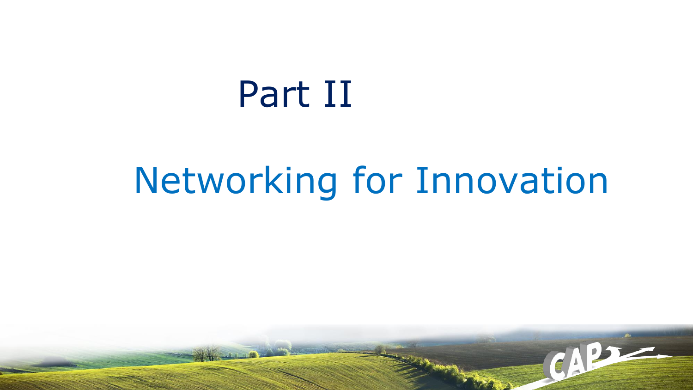# Part II

# Networking for Innovation

CAP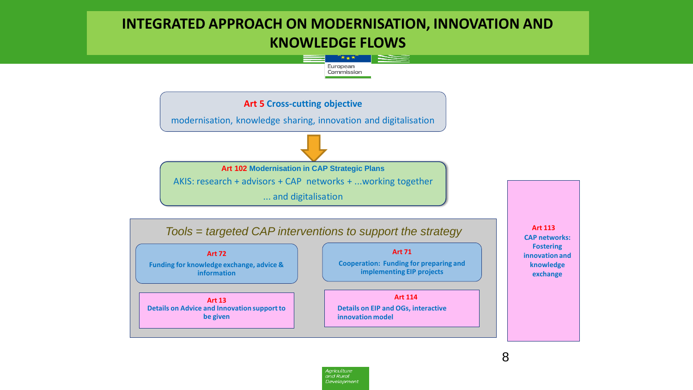### **INTEGRATED APPROACH ON MODERNISATION, INNOVATION AND KNOWLEDGE FLOWS**



Agriculture and Rural Development

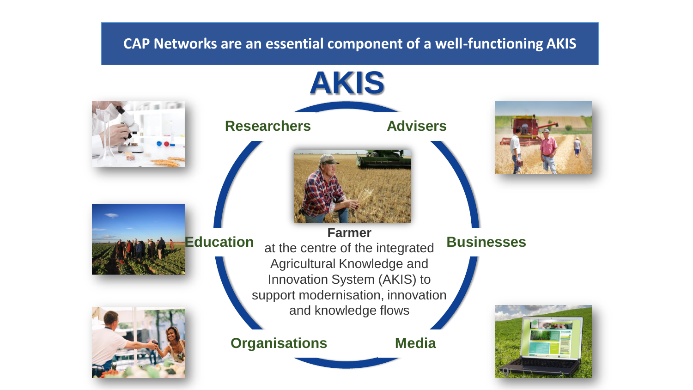#### **CAP Networks are an essential component of a well-functioning AKIS**